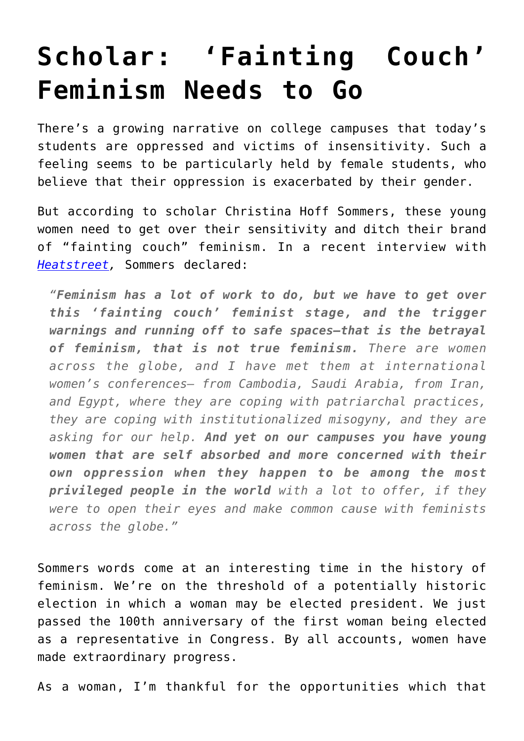## **[Scholar: 'Fainting Couch'](https://intellectualtakeout.org/2016/11/scholar-fainting-couch-feminism-needs-to-go/) [Feminism Needs to Go](https://intellectualtakeout.org/2016/11/scholar-fainting-couch-feminism-needs-to-go/)**

There's a growing narrative on college campuses that today's students are oppressed and victims of insensitivity. Such a feeling seems to be particularly held by female students, who believe that their oppression is exacerbated by their gender.

But according to scholar Christina Hoff Sommers, these young women need to get over their sensitivity and ditch their brand of "fainting couch" feminism. In a recent interview with *[Heatstreet,](http://heatst.com/culture-wars/louise-mensch-and-based-mom-christina-hoff-sommers-talk-about-modern-feminism/)* Sommers declared:

*"Feminism has a lot of work to do, but we have to get over this 'fainting couch' feminist stage, and the trigger warnings and running off to safe spaces—that is the betrayal of feminism, that is not true feminism. There are women across the globe, and I have met them at international women's conferences– from Cambodia, Saudi Arabia, from Iran, and Egypt, where they are coping with patriarchal practices, they are coping with institutionalized misogyny, and they are asking for our help. And yet on our campuses you have young women that are self absorbed and more concerned with their own oppression when they happen to be among the most privileged people in the world with a lot to offer, if they were to open their eyes and make common cause with feminists across the globe."*

Sommers words come at an interesting time in the history of feminism. We're on the threshold of a potentially historic election in which a woman may be elected president. We just passed the 100th anniversary of the first woman being elected as a representative in Congress. By all accounts, women have made extraordinary progress.

As a woman, I'm thankful for the opportunities which that